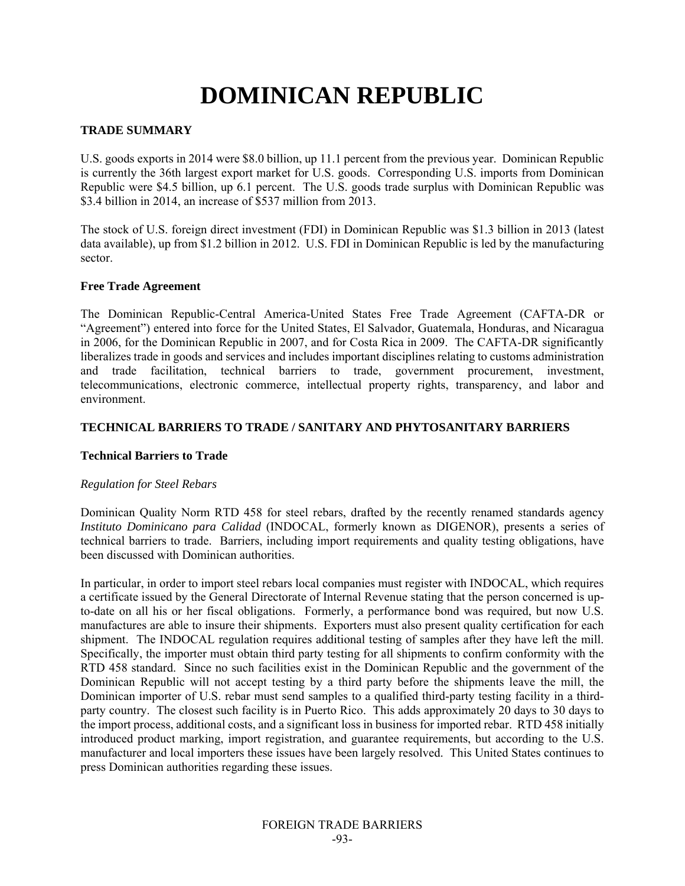# **DOMINICAN REPUBLIC**

# **TRADE SUMMARY**

U.S. goods exports in 2014 were \$8.0 billion, up 11.1 percent from the previous year. Dominican Republic is currently the 36th largest export market for U.S. goods. Corresponding U.S. imports from Dominican Republic were \$4.5 billion, up 6.1 percent. The U.S. goods trade surplus with Dominican Republic was \$3.4 billion in 2014, an increase of \$537 million from 2013.

The stock of U.S. foreign direct investment (FDI) in Dominican Republic was \$1.3 billion in 2013 (latest data available), up from \$1.2 billion in 2012. U.S. FDI in Dominican Republic is led by the manufacturing sector.

## **Free Trade Agreement**

The Dominican Republic-Central America-United States Free Trade Agreement (CAFTA-DR or "Agreement") entered into force for the United States, El Salvador, Guatemala, Honduras, and Nicaragua in 2006, for the Dominican Republic in 2007, and for Costa Rica in 2009. The CAFTA-DR significantly liberalizes trade in goods and services and includes important disciplines relating to customs administration and trade facilitation, technical barriers to trade, government procurement, investment, telecommunications, electronic commerce, intellectual property rights, transparency, and labor and environment.

# **TECHNICAL BARRIERS TO TRADE / SANITARY AND PHYTOSANITARY BARRIERS**

## **Technical Barriers to Trade**

## *Regulation for Steel Rebars*

Dominican Quality Norm RTD 458 for steel rebars, drafted by the recently renamed standards agency *Instituto Dominicano para Calidad* (INDOCAL, formerly known as DIGENOR), presents a series of technical barriers to trade. Barriers, including import requirements and quality testing obligations, have been discussed with Dominican authorities.

In particular, in order to import steel rebars local companies must register with INDOCAL, which requires a certificate issued by the General Directorate of Internal Revenue stating that the person concerned is upto-date on all his or her fiscal obligations. Formerly, a performance bond was required, but now U.S. manufactures are able to insure their shipments. Exporters must also present quality certification for each shipment. The INDOCAL regulation requires additional testing of samples after they have left the mill. Specifically, the importer must obtain third party testing for all shipments to confirm conformity with the RTD 458 standard. Since no such facilities exist in the Dominican Republic and the government of the Dominican Republic will not accept testing by a third party before the shipments leave the mill, the Dominican importer of U.S. rebar must send samples to a qualified third-party testing facility in a thirdparty country. The closest such facility is in Puerto Rico. This adds approximately 20 days to 30 days to the import process, additional costs, and a significant loss in business for imported rebar. RTD 458 initially introduced product marking, import registration, and guarantee requirements, but according to the U.S. manufacturer and local importers these issues have been largely resolved. This United States continues to press Dominican authorities regarding these issues.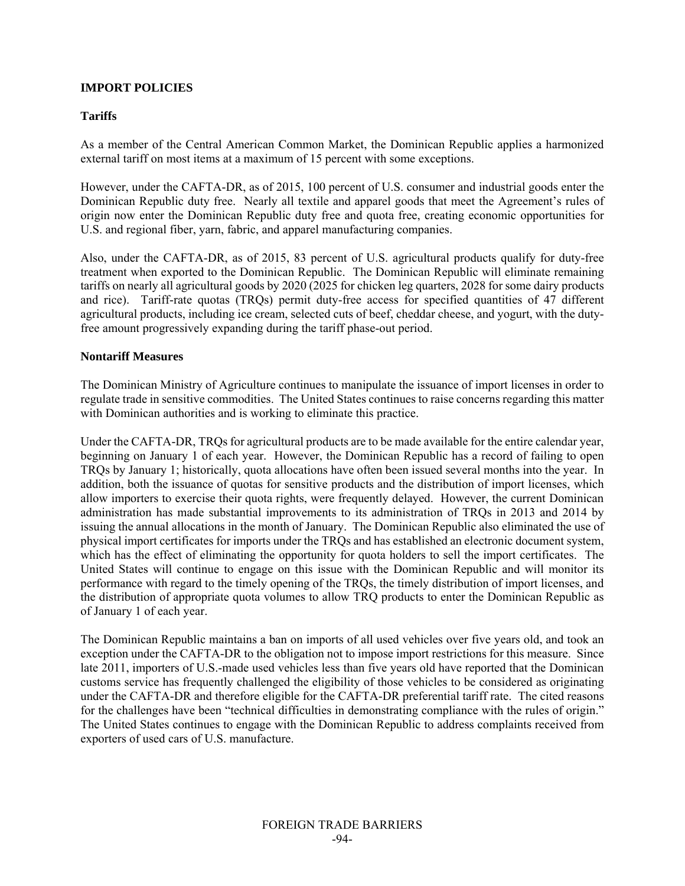## **IMPORT POLICIES**

#### **Tariffs**

As a member of the Central American Common Market, the Dominican Republic applies a harmonized external tariff on most items at a maximum of 15 percent with some exceptions.

However, under the CAFTA-DR, as of 2015, 100 percent of U.S. consumer and industrial goods enter the Dominican Republic duty free. Nearly all textile and apparel goods that meet the Agreement's rules of origin now enter the Dominican Republic duty free and quota free, creating economic opportunities for U.S. and regional fiber, yarn, fabric, and apparel manufacturing companies.

Also, under the CAFTA-DR, as of 2015, 83 percent of U.S. agricultural products qualify for duty-free treatment when exported to the Dominican Republic. The Dominican Republic will eliminate remaining tariffs on nearly all agricultural goods by 2020 (2025 for chicken leg quarters, 2028 for some dairy products and rice). Tariff-rate quotas (TRQs) permit duty-free access for specified quantities of 47 different agricultural products, including ice cream, selected cuts of beef, cheddar cheese, and yogurt, with the dutyfree amount progressively expanding during the tariff phase-out period.

#### **Nontariff Measures**

The Dominican Ministry of Agriculture continues to manipulate the issuance of import licenses in order to regulate trade in sensitive commodities. The United States continues to raise concerns regarding this matter with Dominican authorities and is working to eliminate this practice.

Under the CAFTA-DR, TRQs for agricultural products are to be made available for the entire calendar year, beginning on January 1 of each year. However, the Dominican Republic has a record of failing to open TRQs by January 1; historically, quota allocations have often been issued several months into the year. In addition, both the issuance of quotas for sensitive products and the distribution of import licenses, which allow importers to exercise their quota rights, were frequently delayed. However, the current Dominican administration has made substantial improvements to its administration of TRQs in 2013 and 2014 by issuing the annual allocations in the month of January. The Dominican Republic also eliminated the use of physical import certificates for imports under the TRQs and has established an electronic document system, which has the effect of eliminating the opportunity for quota holders to sell the import certificates. The United States will continue to engage on this issue with the Dominican Republic and will monitor its performance with regard to the timely opening of the TRQs, the timely distribution of import licenses, and the distribution of appropriate quota volumes to allow TRQ products to enter the Dominican Republic as of January 1 of each year.

The Dominican Republic maintains a ban on imports of all used vehicles over five years old, and took an exception under the CAFTA-DR to the obligation not to impose import restrictions for this measure. Since late 2011, importers of U.S.-made used vehicles less than five years old have reported that the Dominican customs service has frequently challenged the eligibility of those vehicles to be considered as originating under the CAFTA-DR and therefore eligible for the CAFTA-DR preferential tariff rate. The cited reasons for the challenges have been "technical difficulties in demonstrating compliance with the rules of origin." The United States continues to engage with the Dominican Republic to address complaints received from exporters of used cars of U.S. manufacture.